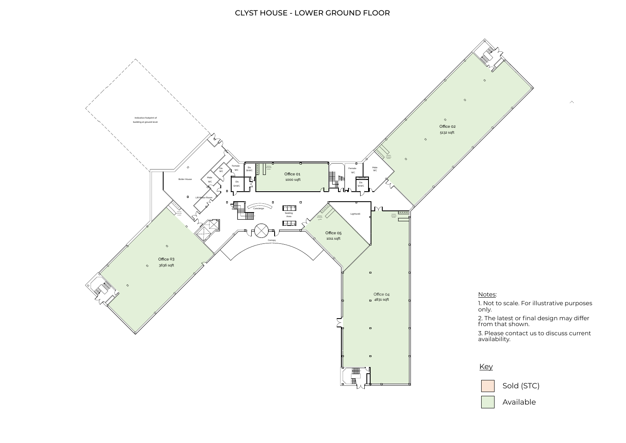Available

1. Not to scale. For illustrative purposes

 $\mathcal{L}^{\text{max}}$ 

2. The latest or final design may differ



3. Please contact us to discuss current



# CLYST HOUSE - LOWER GROUND FLOOR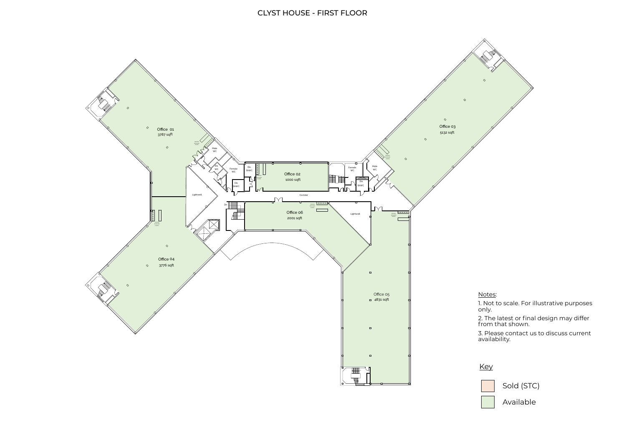Available

1. Not to scale. For illustrative purposes

2. The latest or final design may differ



3. Please contact us to discuss current



## CLYST HOUSE - FIRST FLOOR